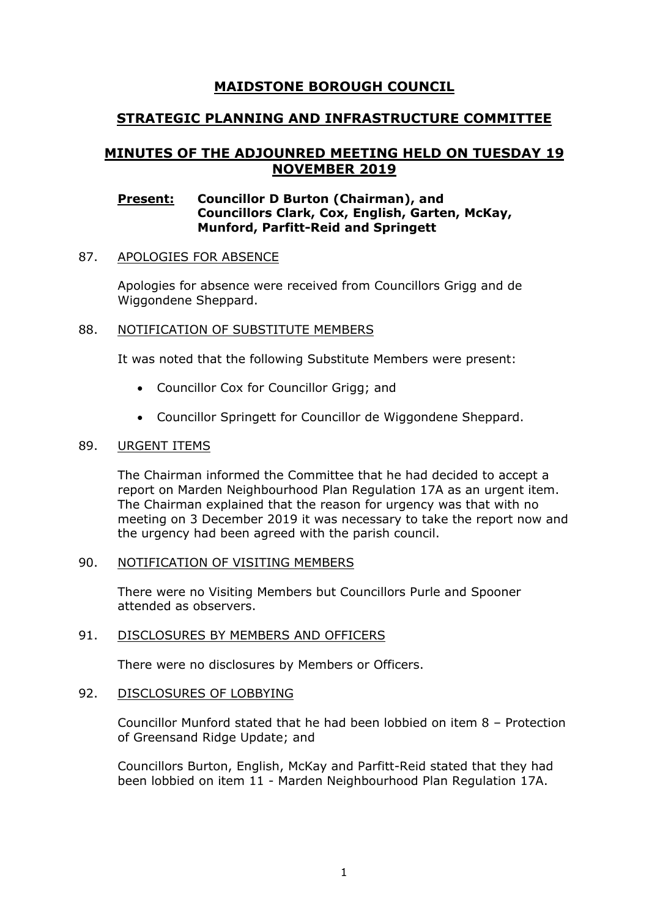# **MAIDSTONE BOROUGH COUNCIL**

## **STRATEGIC PLANNING AND INFRASTRUCTURE COMMITTEE**

# **MINUTES OF THE ADJOUNRED MEETING HELD ON TUESDAY 19 NOVEMBER 2019**

#### **Present: Councillor D Burton (Chairman), and Councillors Clark, Cox, English, Garten, McKay, Munford, Parfitt-Reid and Springett**

#### 87. APOLOGIES FOR ABSENCE

Apologies for absence were received from Councillors Grigg and de Wiggondene Sheppard.

#### 88. NOTIFICATION OF SUBSTITUTE MEMBERS

It was noted that the following Substitute Members were present:

- Councillor Cox for Councillor Grigg; and
- Councillor Springett for Councillor de Wiggondene Sheppard.

#### 89. URGENT ITEMS

The Chairman informed the Committee that he had decided to accept a report on Marden Neighbourhood Plan Regulation 17A as an urgent item. The Chairman explained that the reason for urgency was that with no meeting on 3 December 2019 it was necessary to take the report now and the urgency had been agreed with the parish council.

#### 90. NOTIFICATION OF VISITING MEMBERS

There were no Visiting Members but Councillors Purle and Spooner attended as observers.

#### 91. DISCLOSURES BY MEMBERS AND OFFICERS

There were no disclosures by Members or Officers.

#### 92. DISCLOSURES OF LOBBYING

Councillor Munford stated that he had been lobbied on item 8 – Protection of Greensand Ridge Update; and

Councillors Burton, English, McKay and Parfitt-Reid stated that they had been lobbied on item 11 - Marden Neighbourhood Plan Regulation 17A.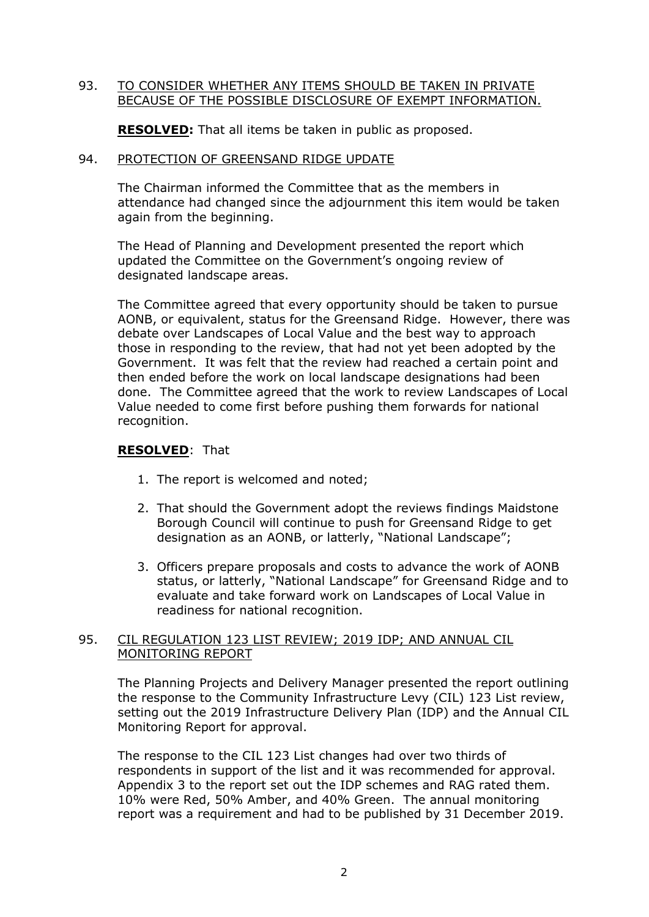#### 93. TO CONSIDER WHETHER ANY ITEMS SHOULD BE TAKEN IN PRIVATE BECAUSE OF THE POSSIBLE DISCLOSURE OF EXEMPT INFORMATION.

**RESOLVED:** That all items be taken in public as proposed.

#### 94. PROTECTION OF GREENSAND RIDGE UPDATE

The Chairman informed the Committee that as the members in attendance had changed since the adjournment this item would be taken again from the beginning.

The Head of Planning and Development presented the report which updated the Committee on the Government's ongoing review of designated landscape areas.

The Committee agreed that every opportunity should be taken to pursue AONB, or equivalent, status for the Greensand Ridge. However, there was debate over Landscapes of Local Value and the best way to approach those in responding to the review, that had not yet been adopted by the Government. It was felt that the review had reached a certain point and then ended before the work on local landscape designations had been done. The Committee agreed that the work to review Landscapes of Local Value needed to come first before pushing them forwards for national recognition.

#### **RESOLVED**: That

- 1. The report is welcomed and noted;
- 2. That should the Government adopt the reviews findings Maidstone Borough Council will continue to push for Greensand Ridge to get designation as an AONB, or latterly, "National Landscape";
- 3. Officers prepare proposals and costs to advance the work of AONB status, or latterly, "National Landscape" for Greensand Ridge and to evaluate and take forward work on Landscapes of Local Value in readiness for national recognition.

#### 95. CIL REGULATION 123 LIST REVIEW; 2019 IDP; AND ANNUAL CIL MONITORING REPORT

The Planning Projects and Delivery Manager presented the report outlining the response to the Community Infrastructure Levy (CIL) 123 List review, setting out the 2019 Infrastructure Delivery Plan (IDP) and the Annual CIL Monitoring Report for approval.

The response to the CIL 123 List changes had over two thirds of respondents in support of the list and it was recommended for approval. Appendix 3 to the report set out the IDP schemes and RAG rated them. 10% were Red, 50% Amber, and 40% Green. The annual monitoring report was a requirement and had to be published by 31 December 2019.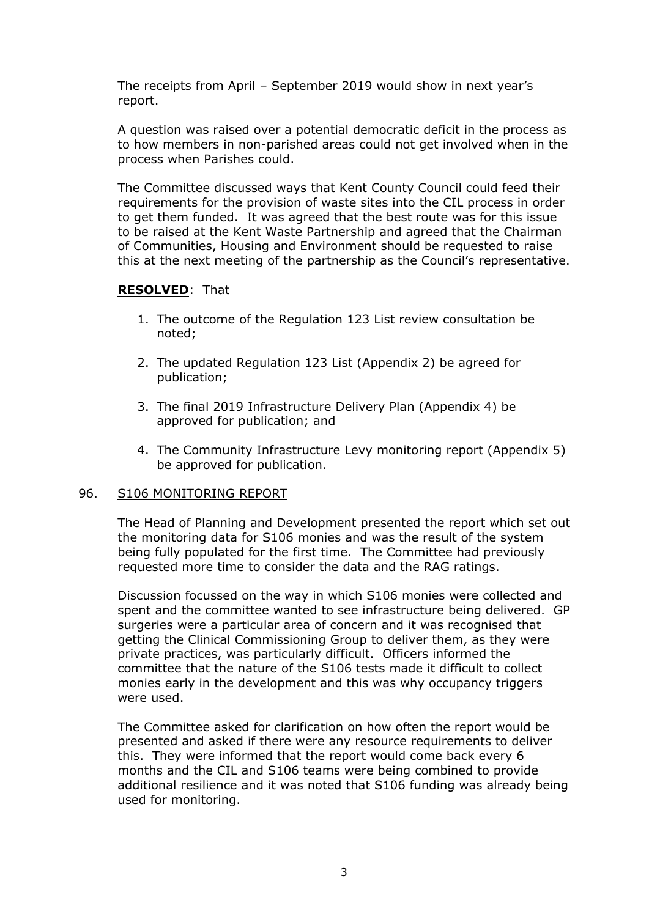The receipts from April – September 2019 would show in next year's report.

A question was raised over a potential democratic deficit in the process as to how members in non-parished areas could not get involved when in the process when Parishes could.

The Committee discussed ways that Kent County Council could feed their requirements for the provision of waste sites into the CIL process in order to get them funded. It was agreed that the best route was for this issue to be raised at the Kent Waste Partnership and agreed that the Chairman of Communities, Housing and Environment should be requested to raise this at the next meeting of the partnership as the Council's representative.

#### **RESOLVED**: That

- 1. The outcome of the Regulation 123 List review consultation be noted;
- 2. The updated Regulation 123 List (Appendix 2) be agreed for publication;
- 3. The final 2019 Infrastructure Delivery Plan (Appendix 4) be approved for publication; and
- 4. The Community Infrastructure Levy monitoring report (Appendix 5) be approved for publication.

#### 96. S106 MONITORING REPORT

The Head of Planning and Development presented the report which set out the monitoring data for S106 monies and was the result of the system being fully populated for the first time. The Committee had previously requested more time to consider the data and the RAG ratings.

Discussion focussed on the way in which S106 monies were collected and spent and the committee wanted to see infrastructure being delivered. GP surgeries were a particular area of concern and it was recognised that getting the Clinical Commissioning Group to deliver them, as they were private practices, was particularly difficult. Officers informed the committee that the nature of the S106 tests made it difficult to collect monies early in the development and this was why occupancy triggers were used.

The Committee asked for clarification on how often the report would be presented and asked if there were any resource requirements to deliver this. They were informed that the report would come back every 6 months and the CIL and S106 teams were being combined to provide additional resilience and it was noted that S106 funding was already being used for monitoring.